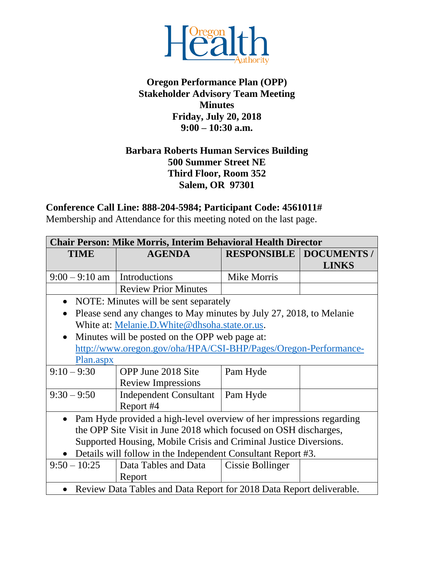

## **Oregon Performance Plan (OPP) Stakeholder Advisory Team Meeting Minutes Friday, July 20, 2018 9:00 – 10:30 a.m.**

## **Barbara Roberts Human Services Building 500 Summer Street NE Third Floor, Room 352 Salem, OR 97301**

## **Conference Call Line: 888-204-5984; Participant Code: 4561011#**

Membership and Attendance for this meeting noted on the last page.

| <b>Chair Person: Mike Morris, Interim Behavioral Health Director</b>              |                               |                    |                                  |  |
|-----------------------------------------------------------------------------------|-------------------------------|--------------------|----------------------------------|--|
| <b>TIME</b>                                                                       | <b>AGENDA</b>                 |                    | <b>RESPONSIBLE   DOCUMENTS /</b> |  |
|                                                                                   |                               |                    | <b>LINKS</b>                     |  |
| $9:00 - 9:10$ am   Introductions                                                  |                               | <b>Mike Morris</b> |                                  |  |
|                                                                                   | <b>Review Prior Minutes</b>   |                    |                                  |  |
| NOTE: Minutes will be sent separately<br>$\bullet$                                |                               |                    |                                  |  |
| Please send any changes to May minutes by July 27, 2018, to Melanie<br>$\bullet$  |                               |                    |                                  |  |
| White at: Melanie.D. White@dhsoha.state.or.us.                                    |                               |                    |                                  |  |
| Minutes will be posted on the OPP web page at:<br>$\bullet$                       |                               |                    |                                  |  |
| http://www.oregon.gov/oha/HPA/CSI-BHP/Pages/Oregon-Performance-                   |                               |                    |                                  |  |
| Plan.aspx                                                                         |                               |                    |                                  |  |
| $9:10 - 9:30$                                                                     | OPP June 2018 Site            | Pam Hyde           |                                  |  |
|                                                                                   | <b>Review Impressions</b>     |                    |                                  |  |
| $9:30 - 9:50$                                                                     | <b>Independent Consultant</b> | Pam Hyde           |                                  |  |
|                                                                                   | Report #4                     |                    |                                  |  |
| Pam Hyde provided a high-level overview of her impressions regarding<br>$\bullet$ |                               |                    |                                  |  |
| the OPP Site Visit in June 2018 which focused on OSH discharges,                  |                               |                    |                                  |  |
| Supported Housing, Mobile Crisis and Criminal Justice Diversions.                 |                               |                    |                                  |  |
| Details will follow in the Independent Consultant Report #3.                      |                               |                    |                                  |  |
| $9:50 - 10:25$                                                                    | Data Tables and Data          | Cissie Bollinger   |                                  |  |
|                                                                                   | Report                        |                    |                                  |  |
| Review Data Tables and Data Report for 2018 Data Report deliverable.              |                               |                    |                                  |  |